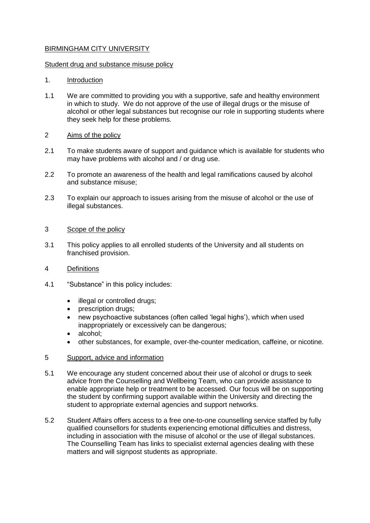## BIRMINGHAM CITY UNIVERSITY

#### Student drug and substance misuse policy

## 1. Introduction

1.1 We are committed to providing you with a supportive, safe and healthy environment in which to study. We do not approve of the use of illegal drugs or the misuse of alcohol or other legal substances but recognise our role in supporting students where they seek help for these problems.

# 2 Aims of the policy

- 2.1 To make students aware of support and guidance which is available for students who may have problems with alcohol and / or drug use.
- 2.2 To promote an awareness of the health and legal ramifications caused by alcohol and substance misuse;
- 2.3 To explain our approach to issues arising from the misuse of alcohol or the use of illegal substances.

## 3 Scope of the policy

3.1 This policy applies to all enrolled students of the University and all students on franchised provision.

## 4 Definitions

- 4.1 "Substance" in this policy includes:
	- illegal or controlled drugs;
	- prescription drugs;
	- new psychoactive substances (often called 'legal highs'), which when used inappropriately or excessively can be dangerous;
	- alcohol;
	- other substances, for example, over-the-counter medication, caffeine, or nicotine.

## 5 Support, advice and information

- 5.1 We encourage any student concerned about their use of alcohol or drugs to seek advice from the Counselling and Wellbeing Team, who can provide assistance to enable appropriate help or treatment to be accessed. Our focus will be on supporting the student by confirming support available within the University and directing the student to appropriate external agencies and support networks.
- 5.2 Student Affairs offers access to a free one-to-one counselling service staffed by fully qualified counsellors for students experiencing emotional difficulties and distress, including in association with the misuse of alcohol or the use of illegal substances. The Counselling Team has links to specialist external agencies dealing with these matters and will signpost students as appropriate.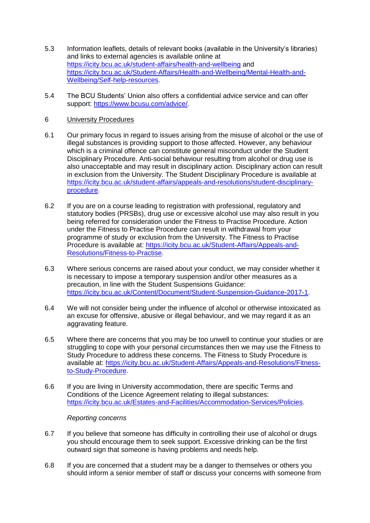- 5.3 Information leaflets, details of relevant books (available in the University's libraries) and links to external agencies is available online at <https://icity.bcu.ac.uk/student-affairs/health-and-wellbeing> and [https://icity.bcu.ac.uk/Student-Affairs/Health-and-Wellbeing/Mental-Health-and-](https://icity.bcu.ac.uk/Student-Affairs/Health-and-Wellbeing/Mental-Health-and-Wellbeing/Self-help-resources)[Wellbeing/Self-help-resources.](https://icity.bcu.ac.uk/Student-Affairs/Health-and-Wellbeing/Mental-Health-and-Wellbeing/Self-help-resources)
- 5.4 The BCU Students' Union also offers a confidential advice service and can offer support: [https://www.bcusu.com/advice/.](https://www.bcusu.com/advice/)
- 6 University Procedures
- 6.1 Our primary focus in regard to issues arising from the misuse of alcohol or the use of illegal substances is providing support to those affected. However, any behaviour which is a criminal offence can constitute general misconduct under the Student Disciplinary Procedure. Anti-social behaviour resulting from alcohol or drug use is also unacceptable and may result in disciplinary action. Disciplinary action can result in exclusion from the University. The Student Disciplinary Procedure is available at [https://icity.bcu.ac.uk/student-affairs/appeals-and-resolutions/student-disciplinary](https://icity.bcu.ac.uk/student-affairs/appeals-and-resolutions/student-disciplinary-procedure)[procedure.](https://icity.bcu.ac.uk/student-affairs/appeals-and-resolutions/student-disciplinary-procedure)
- 6.2 If you are on a course leading to registration with professional, regulatory and statutory bodies (PRSBs), drug use or excessive alcohol use may also result in you being referred for consideration under the Fitness to Practise Procedure. Action under the Fitness to Practise Procedure can result in withdrawal from your programme of study or exclusion from the University. The Fitness to Practise Procedure is available at: [https://icity.bcu.ac.uk/Student-Affairs/Appeals-and-](https://icity.bcu.ac.uk/Student-Affairs/Appeals-and-Resolutions/Fitness-to-Practise)[Resolutions/Fitness-to-Practise.](https://icity.bcu.ac.uk/Student-Affairs/Appeals-and-Resolutions/Fitness-to-Practise)
- 6.3 Where serious concerns are raised about your conduct, we may consider whether it is necessary to impose a temporary suspension and/or other measures as a precaution, in line with the Student Suspensions Guidance: [https://icity.bcu.ac.uk/Content/Document/Student-Suspension-Guidance-2017-1.](https://icity.bcu.ac.uk/Content/Document/Student-Suspension-Guidance-2017-1)
- 6.4 We will not consider being under the influence of alcohol or otherwise intoxicated as an excuse for offensive, abusive or illegal behaviour, and we may regard it as an aggravating feature.
- 6.5 Where there are concerns that you may be too unwell to continue your studies or are struggling to cope with your personal circumstances then we may use the Fitness to Study Procedure to address these concerns. The Fitness to Study Procedure is available at: [https://icity.bcu.ac.uk/Student-Affairs/Appeals-and-Resolutions/Fitness](https://icity.bcu.ac.uk/Student-Affairs/Appeals-and-Resolutions/Fitness-to-Study-Procedure)[to-Study-Procedure.](https://icity.bcu.ac.uk/Student-Affairs/Appeals-and-Resolutions/Fitness-to-Study-Procedure)
- 6.6 If you are living in University accommodation, there are specific Terms and Conditions of the Licence Agreement relating to illegal substances: [https://icity.bcu.ac.uk/Estates-and-Facilities/Accommodation-Services/Policies.](https://icity.bcu.ac.uk/Estates-and-Facilities/Accommodation-Services/Policies)

#### *Reporting concerns*

- 6.7 If you believe that someone has difficulty in controlling their use of alcohol or drugs you should encourage them to seek support. Excessive drinking can be the first outward sign that someone is having problems and needs help.
- 6.8 If you are concerned that a student may be a danger to themselves or others you should inform a senior member of staff or discuss your concerns with someone from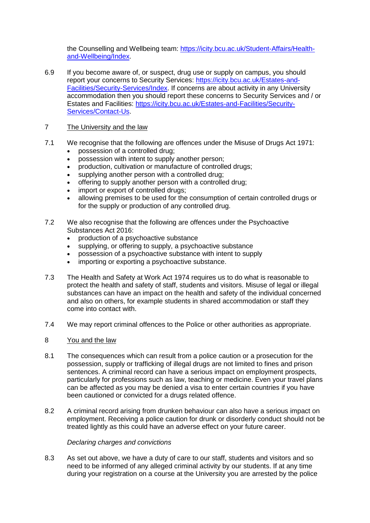the Counselling and Wellbeing team: [https://icity.bcu.ac.uk/Student-Affairs/Health](https://icity.bcu.ac.uk/Student-Affairs/Health-and-Wellbeing/Index)[and-Wellbeing/Index.](https://icity.bcu.ac.uk/Student-Affairs/Health-and-Wellbeing/Index)

6.9 If you become aware of, or suspect, drug use or supply on campus, you should report your concerns to Security Services: [https://icity.bcu.ac.uk/Estates-and-](https://icity.bcu.ac.uk/Estates-and-Facilities/Security-Services/Index)[Facilities/Security-Services/Index.](https://icity.bcu.ac.uk/Estates-and-Facilities/Security-Services/Index) If concerns are about activity in any University accommodation then you should report these concerns to Security Services and / or Estates and Facilities: [https://icity.bcu.ac.uk/Estates-and-Facilities/Security-](https://icity.bcu.ac.uk/Estates-and-Facilities/Security-Services/Contact-Us)[Services/Contact-Us.](https://icity.bcu.ac.uk/Estates-and-Facilities/Security-Services/Contact-Us)

# 7 The University and the law

- 7.1 We recognise that the following are offences under the Misuse of Drugs Act 1971:
	- possession of a controlled drug;
	- possession with intent to supply another person;
	- production, cultivation or manufacture of controlled drugs;
	- supplying another person with a controlled drug;
	- offering to supply another person with a controlled drug;
	- import or export of controlled drugs;
	- allowing premises to be used for the consumption of certain controlled drugs or for the supply or production of any controlled drug.
- 7.2 We also recognise that the following are offences under the Psychoactive Substances Act 2016:
	- production of a psychoactive substance
	- supplying, or offering to supply, a psychoactive substance
	- possession of a psychoactive substance with intent to supply
	- importing or exporting a psychoactive substance.
- 7.3 The Health and Safety at Work Act 1974 requires us to do what is reasonable to protect the health and safety of staff, students and visitors. Misuse of legal or illegal substances can have an impact on the health and safety of the individual concerned and also on others, for example students in shared accommodation or staff they come into contact with.
- 7.4 We may report criminal offences to the Police or other authorities as appropriate.
- 8 You and the law
- 8.1 The consequences which can result from a police caution or a prosecution for the possession, supply or trafficking of illegal drugs are not limited to fines and prison sentences. A criminal record can have a serious impact on employment prospects, particularly for professions such as law, teaching or medicine. Even your travel plans can be affected as you may be denied a visa to enter certain countries if you have been cautioned or convicted for a drugs related offence.
- 8.2 A criminal record arising from drunken behaviour can also have a serious impact on employment. Receiving a police caution for drunk or disorderly conduct should not be treated lightly as this could have an adverse effect on your future career.

## *Declaring charges and convictions*

8.3 As set out above, we have a duty of care to our staff, students and visitors and so need to be informed of any alleged criminal activity by our students. If at any time during your registration on a course at the University you are arrested by the police